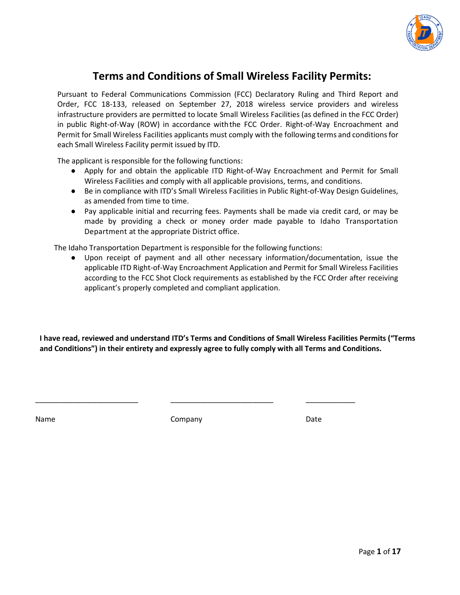

# **Terms and Conditions of Small Wireless Facility Permits:**

Pursuant to Federal Communications Commission (FCC) Declaratory Ruling and Third Report and Order, FCC 18‐133, released on September 27, 2018 wireless service providers and wireless infrastructure providers are permitted to locate Small Wireless Facilities (as defined in the FCC Order) in public Right‐of‐Way (ROW) in accordance withthe FCC Order. Right-of-Way Encroachment and Permit for Small Wireless Facilities applicants must comply with the following terms and conditionsfor each Small Wireless Facility permit issued by ITD.

The applicant is responsible for the following functions:

- Apply for and obtain the applicable ITD Right-of-Way Encroachment and Permit for Small Wireless Facilities and comply with all applicable provisions, terms, and conditions.
- Be in compliance with ITD's Small Wireless Facilities in Public Right-of-Way Design Guidelines, as amended from time to time.
- Pay applicable initial and recurring fees. Payments shall be made via credit card, or may be made by providing a check or money order made payable to Idaho Transportation Department at the appropriate District office.

The Idaho Transportation Department is responsible for the following functions:

● Upon receipt of payment and all other necessary information/documentation, issue the applicable ITD Right-of-Way Encroachment Application and Permit for Small Wireless Facilities according to the FCC Shot Clock requirements as established by the FCC Order after receiving applicant's properly completed and compliant application.

**I have read, reviewed and understand ITD's Terms and Conditions of Small Wireless Facilities Permits ("Terms and Conditions") in their entirety and expressly agree to fully comply with all Terms and Conditions.**

Name Date Company Company Date

\_\_\_\_\_\_\_\_\_\_\_\_\_\_\_\_\_\_\_\_\_\_\_\_\_ \_\_\_\_\_\_\_\_\_\_\_\_\_\_\_\_\_\_\_\_\_\_\_\_\_ \_\_\_\_\_\_\_\_\_\_\_\_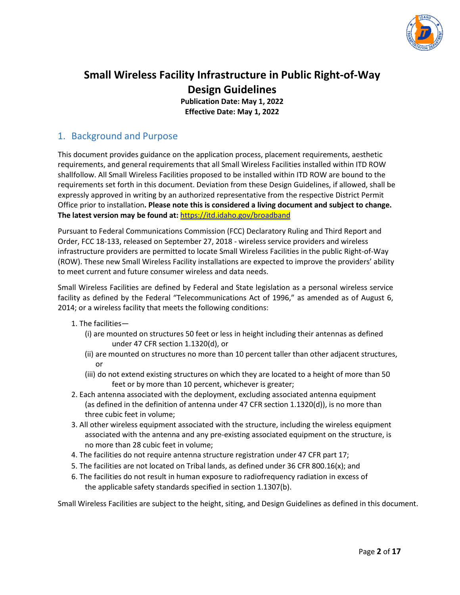

# **Small Wireless Facility Infrastructure in Public Right‐of‐Way Design Guidelines**

**Publication Date: May 1, 2022 Effective Date: May 1, 2022**

### 1. Background and Purpose

This document provides guidance on the application process, placement requirements, aesthetic requirements, and general requirements that all Small Wireless Facilities installed within ITD ROW shallfollow. All Small Wireless Facilities proposed to be installed within ITD ROW are bound to the requirements set forth in this document. Deviation from these Design Guidelines, if allowed, shall be expressly approved in writing by an authorized representative from the respective District Permit Office prior to installation**. Please note this is considered a living document and subject to change. The latest version may be found at:** <https://itd.idaho.gov/broadband>

Pursuant to Federal Communications Commission (FCC) Declaratory Ruling and Third Report and Order, FCC 18‐133, released on September 27, 2018 ‐ wireless service providers and wireless infrastructure providers are permitted to locate Small Wireless Facilities in the public Right‐of‐Way (ROW). These new Small Wireless Facility installations are expected to improve the providers' ability to meet current and future consumer wireless and data needs.

Small Wireless Facilities are defined by Federal and State legislation as a personal wireless service facility as defined by the Federal "Telecommunications Act of 1996," as amended as of August 6, 2014; or a wireless facility that meets the following conditions:

- 1. The facilities—
	- (i) are mounted on structures 50 feet or less in height including their antennas as defined under 47 CFR section 1.1320(d), or
	- (ii) are mounted on structures no more than 10 percent taller than other adjacent structures, or
	- (iii) do not extend existing structures on which they are located to a height of more than 50 feet or by more than 10 percent, whichever is greater;
- 2. Each antenna associated with the deployment, excluding associated antenna equipment (as defined in the definition of antenna under 47 CFR section 1.1320(d)), is no more than three cubic feet in volume;
- 3. All other wireless equipment associated with the structure, including the wireless equipment associated with the antenna and any pre‐existing associated equipment on the structure, is no more than 28 cubic feet in volume;
- 4. The facilities do not require antenna structure registration under 47 CFR part 17;
- 5. The facilities are not located on Tribal lands, as defined under 36 CFR 800.16(x); and
- 6. The facilities do not result in human exposure to radiofrequency radiation in excess of the applicable safety standards specified in section 1.1307(b).

Small Wireless Facilities are subject to the height, siting, and Design Guidelines as defined in this document.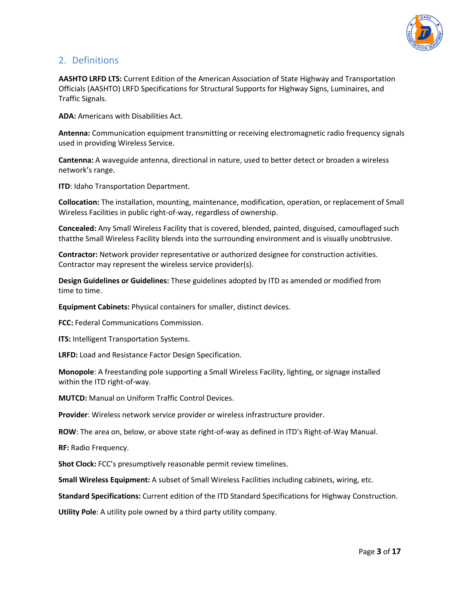

### 2. Definitions

**AASHTO LRFD LTS:** Current Edition of the American Association of State Highway and Transportation Officials (AASHTO) LRFD Specifications for Structural Supports for Highway Signs, Luminaires, and Traffic Signals.

**ADA:** Americans with Disabilities Act.

**Antenna:** Communication equipment transmitting or receiving electromagnetic radio frequency signals used in providing Wireless Service.

**Cantenna:** A waveguide antenna, directional in nature, used to better detect or broaden a wireless network's range.

**ITD:** Idaho Transportation Department.

**Collocation:** The installation, mounting, maintenance, modification, operation, or replacement of Small Wireless Facilities in public right‐of‐way, regardless of ownership.

**Concealed:** Any Small Wireless Facility that is covered, blended, painted, disguised, camouflaged such thatthe Small Wireless Facility blends into the surrounding environment and is visually unobtrusive.

**Contractor:** Network provider representative or authorized designee for construction activities. Contractor may represent the wireless service provider(s).

**Design Guidelines or Guidelines:** These guidelines adopted by ITD as amended or modified from time to time.

**Equipment Cabinets:** Physical containers for smaller, distinct devices.

**FCC:** Federal Communications Commission.

**ITS:** Intelligent Transportation Systems.

**LRFD:** Load and Resistance Factor Design Specification.

**Monopole**: A freestanding pole supporting a Small Wireless Facility, lighting, or signage installed within the ITD right-of-way.

**MUTCD:** Manual on Uniform Traffic Control Devices.

**Provider**: Wireless network service provider or wireless infrastructure provider.

**ROW**: The area on, below, or above state right‐of‐way as defined in ITD's Right-of-Way Manual.

**RF:** Radio Frequency.

**Shot Clock:** FCC's presumptively reasonable permit review timelines.

**Small Wireless Equipment:** A subset of Small Wireless Facilities including cabinets, wiring, etc.

**Standard Specifications:** Current edition of the ITD Standard Specifications for Highway Construction.

**Utility Pole**: A utility pole owned by a third party utility company.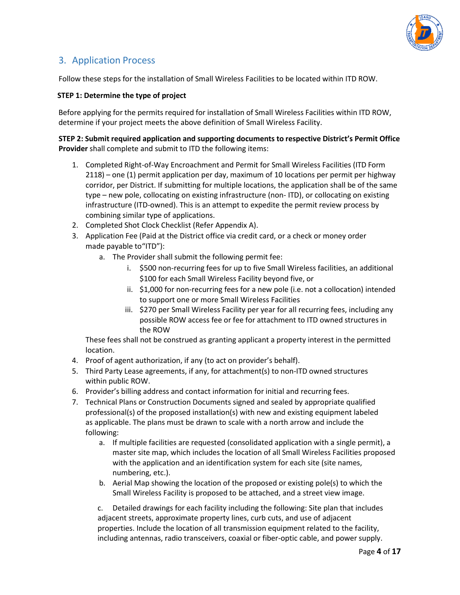

### 3. Application Process

Follow these steps for the installation of Small Wireless Facilities to be located within ITD ROW.

#### **STEP 1: Determine the type of project**

Before applying for the permits required for installation of Small Wireless Facilities within ITD ROW, determine if your project meets the above definition of Small Wireless Facility.

**STEP 2: Submit required application and supporting documents to respective District's Permit Office Provider** shall complete and submit to ITD the following items:

- 1. Completed Right-of-Way Encroachment and Permit for Small Wireless Facilities (ITD Form 2118) – one (1) permit application per day, maximum of 10 locations per permit per highway corridor, per District. If submitting for multiple locations, the application shall be of the same type – new pole, collocating on existing infrastructure (non‐ ITD), or collocating on existing infrastructure (ITD‐owned). This is an attempt to expedite the permit review process by combining similar type of applications.
- 2. Completed Shot Clock Checklist (Refer Appendix A).
- 3. Application Fee (Paid at the District office via credit card, or a check or money order made payable to"ITD"):
	- a. The Provider shall submit the following permit fee:
		- i. \$500 non-recurring fees for up to five Small Wireless facilities, an additional \$100 for each Small Wireless Facility beyond five, or
		- ii. \$1,000 for non‐recurring fees for a new pole (i.e. not a collocation) intended to support one or more Small Wireless Facilities
		- iii. \$270 per Small Wireless Facility per year for all recurring fees, including any possible ROW access fee or fee for attachment to ITD owned structures in the ROW

These fees shall not be construed as granting applicant a property interest in the permitted location.

- 4. Proof of agent authorization, if any (to act on provider's behalf).
- 5. Third Party Lease agreements, if any, for attachment(s) to non-ITD owned structures within public ROW.
- 6. Provider's billing address and contact information for initial and recurring fees.
- 7. Technical Plans or Construction Documents signed and sealed by appropriate qualified professional(s) of the proposed installation(s) with new and existing equipment labeled as applicable. The plans must be drawn to scale with a north arrow and include the following:
	- a. If multiple facilities are requested (consolidated application with a single permit), a master site map, which includes the location of all Small Wireless Facilities proposed with the application and an identification system for each site (site names, numbering, etc.).
	- b. Aerial Map showing the location of the proposed or existing pole(s) to which the Small Wireless Facility is proposed to be attached, and a street view image.

c. Detailed drawings for each facility including the following: Site plan that includes adjacent streets, approximate property lines, curb cuts, and use of adjacent properties. Include the location of all transmission equipment related to the facility, including antennas, radio transceivers, coaxial or fiber‐optic cable, and power supply.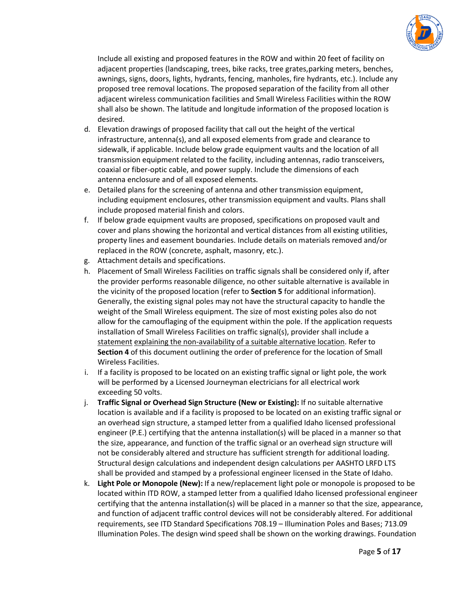

Include all existing and proposed features in the ROW and within 20 feet of facility on adjacent properties (landscaping, trees, bike racks, tree grates,parking meters, benches, awnings, signs, doors, lights, hydrants, fencing, manholes, fire hydrants, etc.). Include any proposed tree removal locations. The proposed separation of the facility from all other adjacent wireless communication facilities and Small Wireless Facilities within the ROW shall also be shown. The latitude and longitude information of the proposed location is desired.

- d. Elevation drawings of proposed facility that call out the height of the vertical infrastructure, antenna(s), and all exposed elements from grade and clearance to sidewalk, if applicable. Include below grade equipment vaults and the location of all transmission equipment related to the facility, including antennas, radio transceivers, coaxial or fiber‐optic cable, and power supply. Include the dimensions of each antenna enclosure and of all exposed elements.
- e. Detailed plans for the screening of antenna and other transmission equipment, including equipment enclosures, other transmission equipment and vaults. Plans shall include proposed material finish and colors.
- f. If below grade equipment vaults are proposed, specifications on proposed vault and cover and plans showing the horizontal and vertical distances from all existing utilities, property lines and easement boundaries. Include details on materials removed and/or replaced in the ROW (concrete, asphalt, masonry, etc.).
- g. Attachment details and specifications.
- h. Placement of Small Wireless Facilities on traffic signals shall be considered only if, after the provider performs reasonable diligence, no other suitable alternative is available in the vicinity of the proposed location (refer to **Section 5** for additional information). Generally, the existing signal poles may not have the structural capacity to handle the weight of the Small Wireless equipment. The size of most existing poles also do not allow for the camouflaging of the equipment within the pole. If the application requests installation of Small Wireless Facilities on traffic signal(s), provider shall include a statement explaining the non-availability of a suitable alternative location. Refer to **Section 4** of this document outlining the order of preference for the location of Small Wireless Facilities.
- i. If a facility is proposed to be located on an existing traffic signal or light pole, the work will be performed by a Licensed Journeyman electricians for all electrical work exceeding 50 volts.
- j. **Traffic Signal or Overhead Sign Structure (New or Existing):** If no suitable alternative location is available and if a facility is proposed to be located on an existing traffic signal or an overhead sign structure, a stamped letter from a qualified Idaho licensed professional engineer (P.E.) certifying that the antenna installation(s) will be placed in a manner so that the size, appearance, and function of the traffic signal or an overhead sign structure will not be considerably altered and structure has sufficient strength for additional loading. Structural design calculations and independent design calculations per AASHTO LRFD LTS shall be provided and stamped by a professional engineer licensed in the State of Idaho.
- k. **Light Pole or Monopole (New):** If a new/replacement light pole or monopole is proposed to be located within ITD ROW, a stamped letter from a qualified Idaho licensed professional engineer certifying that the antenna installation(s) will be placed in a manner so that the size, appearance, and function of adjacent traffic control devices will not be considerably altered. For additional requirements, see ITD Standard Specifications 708.19 – Illumination Poles and Bases; 713.09 Illumination Poles. The design wind speed shall be shown on the working drawings. Foundation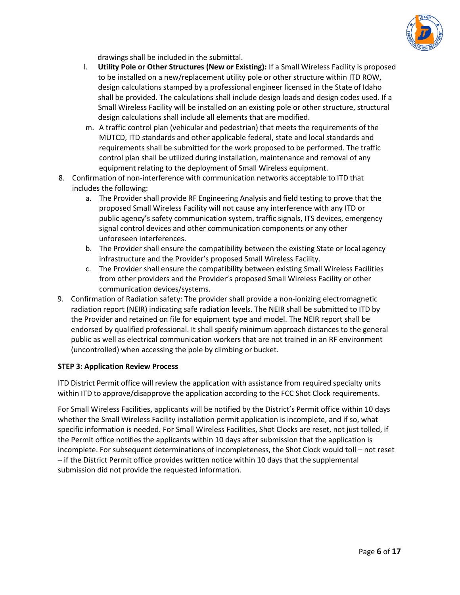

drawings shall be included in the submittal.

- l. **Utility Pole or Other Structures (New or Existing):** If a Small Wireless Facility is proposed to be installed on a new/replacement utility pole or other structure within ITD ROW, design calculations stamped by a professional engineer licensed in the State of Idaho shall be provided. The calculations shall include design loads and design codes used. If a Small Wireless Facility will be installed on an existing pole or other structure, structural design calculations shall include all elements that are modified.
- m. A traffic control plan (vehicular and pedestrian) that meets the requirements of the MUTCD, ITD standards and other applicable federal, state and local standards and requirements shall be submitted for the work proposed to be performed. The traffic control plan shall be utilized during installation, maintenance and removal of any equipment relating to the deployment of Small Wireless equipment.
- 8. Confirmation of non‐interference with communication networks acceptable to ITD that includes the following:
	- a. The Provider shall provide RF Engineering Analysis and field testing to prove that the proposed Small Wireless Facility will not cause any interference with any ITD or public agency's safety communication system, traffic signals, ITS devices, emergency signal control devices and other communication components or any other unforeseen interferences.
	- b. The Provider shall ensure the compatibility between the existing State or local agency infrastructure and the Provider's proposed Small Wireless Facility.
	- c. The Provider shall ensure the compatibility between existing Small Wireless Facilities from other providers and the Provider's proposed Small Wireless Facility or other communication devices/systems.
- 9. Confirmation of Radiation safety: The provider shall provide a non-ionizing electromagnetic radiation report (NEIR) indicating safe radiation levels. The NEIR shall be submitted to ITD by the Provider and retained on file for equipment type and model. The NEIR report shall be endorsed by qualified professional. It shall specify minimum approach distances to the general public as well as electrical communication workers that are not trained in an RF environment (uncontrolled) when accessing the pole by climbing or bucket.

#### **STEP 3: Application Review Process**

ITD District Permit office will review the application with assistance from required specialty units within ITD to approve/disapprove the application according to the FCC Shot Clock requirements.

For Small Wireless Facilities, applicants will be notified by the District's Permit office within 10 days whether the Small Wireless Facility installation permit application is incomplete, and if so, what specific information is needed. For Small Wireless Facilities, Shot Clocks are reset, not just tolled, if the Permit office notifies the applicants within 10 days after submission that the application is incomplete. For subsequent determinations of incompleteness, the Shot Clock would toll – not reset – if the District Permit office provides written notice within 10 days that the supplemental submission did not provide the requested information.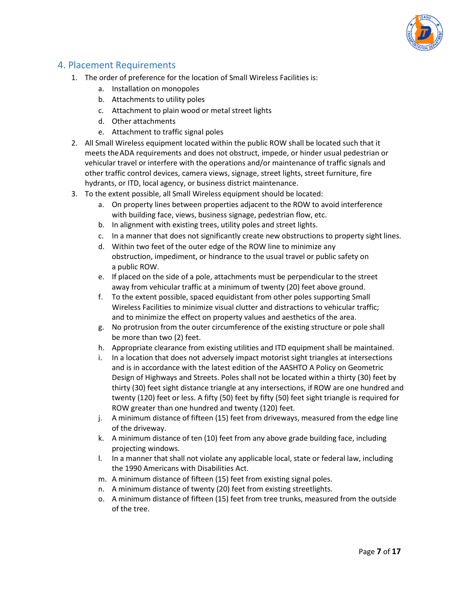

### 4. Placement Requirements

- 1. The order of preference for the location of Small Wireless Facilities is:
	- a. Installation on monopoles
	- b. Attachments to utility poles
	- c. Attachment to plain wood or metal street lights
	- d. Other attachments
	- e. Attachment to traffic signal poles
- 2. All Small Wireless equipment located within the public ROW shall be located such that it meets the ADA requirements and does not obstruct, impede, or hinder usual pedestrian or vehicular travel or interfere with the operations and/or maintenance of traffic signals and other traffic control devices, camera views, signage, street lights, street furniture, fire hydrants, or ITD, local agency, or business district maintenance.
- 3. To the extent possible, all Small Wireless equipment should be located:
	- a. On property lines between properties adjacent to the ROW to avoid interference with building face, views, business signage, pedestrian flow, etc.
	- b. In alignment with existing trees, utility poles and street lights.
	- c. In a manner that does not significantly create new obstructions to property sight lines.
	- d. Within two feet of the outer edge of the ROW line to minimize any obstruction, impediment, or hindrance to the usual travel or public safety on a public ROW.
	- e. If placed on the side of a pole, attachments must be perpendicular to the street away from vehicular traffic at a minimum of twenty (20) feet above ground.
	- f. To the extent possible, spaced equidistant from other poles supporting Small Wireless Facilities to minimize visual clutter and distractions to vehicular traffic; and to minimize the effect on property values and aesthetics of the area.
	- g. No protrusion from the outer circumference of the existing structure or pole shall be more than two (2) feet.
	- h. Appropriate clearance from existing utilities and ITD equipment shall be maintained.
	- i. In a location that does not adversely impact motorist sight triangles at intersections and is in accordance with the latest edition of the AASHTO A Policy on Geometric Design of Highways and Streets. Poles shall not be located within a thirty (30) feet by thirty (30) feet sight distance triangle at any intersections, if ROW are one hundred and twenty (120) feet or less. A fifty (50) feet by fifty (50) feet sight triangle is required for ROW greater than one hundred and twenty (120) feet.
	- j. A minimum distance of fifteen (15) feet from driveways, measured from the edge line of the driveway.
	- k. A minimum distance of ten (10) feet from any above grade building face, including projecting windows.
	- l. In a manner that shall not violate any applicable local, state or federal law, including the 1990 Americans with Disabilities Act.
	- m. A minimum distance of fifteen (15) feet from existing signal poles.
	- n. A minimum distance of twenty (20) feet from existing streetlights.
	- o. A minimum distance of fifteen (15) feet from tree trunks, measured from the outside of the tree.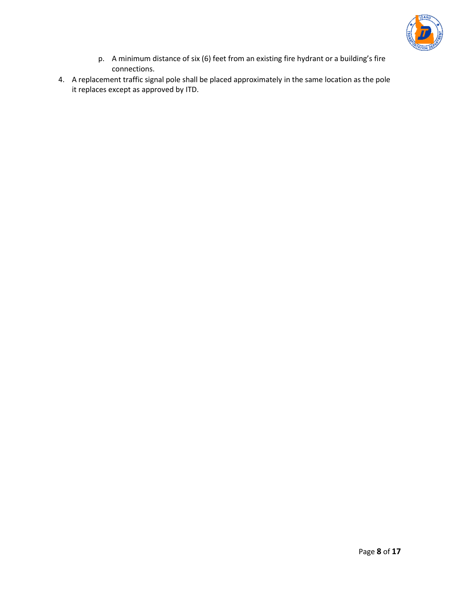

- p. A minimum distance of six (6) feet from an existing fire hydrant or a building's fire connections.
- 4. A replacement traffic signal pole shall be placed approximately in the same location as the pole it replaces except as approved by ITD.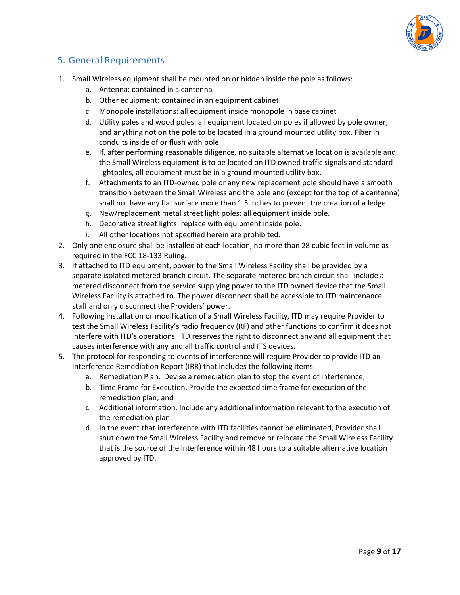

### 5. General Requirements

- 1. Small Wireless equipment shall be mounted on or hidden inside the pole as follows:
	- a. Antenna: contained in a cantenna
	- b. Other equipment: contained in an equipment cabinet
	- c. Monopole installations: all equipment inside monopole in base cabinet
	- d. Utility poles and wood poles: all equipment located on poles if allowed by pole owner, and anything not on the pole to be located in a ground mounted utility box. Fiber in conduits inside of or flush with pole.
	- e. If, after performing reasonable diligence, no suitable alternative location is available and the Small Wireless equipment is to be located on ITD owned traffic signals and standard lightpoles, all equipment must be in a ground mounted utility box.
	- f. Attachments to an ITD‐owned pole or any new replacement pole should have a smooth transition between the Small Wireless and the pole and (except for the top of a cantenna) shall not have any flat surface more than 1.5 inches to prevent the creation of a ledge.
	- g. New/replacement metal street light poles: all equipment inside pole.
	- h. Decorative street lights: replace with equipment inside pole.
	- i. All other locations not specified herein are prohibited.
- 2. Only one enclosure shall be installed at each location, no more than 28 cubic feet in volume as required in the FCC 18‐133 Ruling.
- 3. If attached to ITD equipment, power to the Small Wireless Facility shall be provided by a separate isolated metered branch circuit. The separate metered branch circuit shall include a metered disconnect from the service supplying power to the ITD owned device that the Small Wireless Facility is attached to. The power disconnect shall be accessible to ITD maintenance staff and only disconnect the Providers' power.
- 4. Following installation or modification of a Small Wireless Facility, ITD may require Provider to test the Small Wireless Facility's radio frequency (RF) and other functions to confirm it does not interfere with ITD's operations. ITD reserves the right to disconnect any and all equipment that causes interference with any and all traffic control and ITS devices.
- 5. The protocol for responding to events of interference will require Provider to provide ITD an Interference Remediation Report (IRR) that includes the following items:
	- a. Remediation Plan. Devise a remediation plan to stop the event of interference;
	- b. Time Frame for Execution. Provide the expected time frame for execution of the remediation plan; and
	- c. Additional information. Include any additional information relevant to the execution of the remediation plan.
	- d. In the event that interference with ITD facilities cannot be eliminated, Provider shall shut down the Small Wireless Facility and remove or relocate the Small Wireless Facility that is the source of the interference within 48 hours to a suitable alternative location approved by ITD.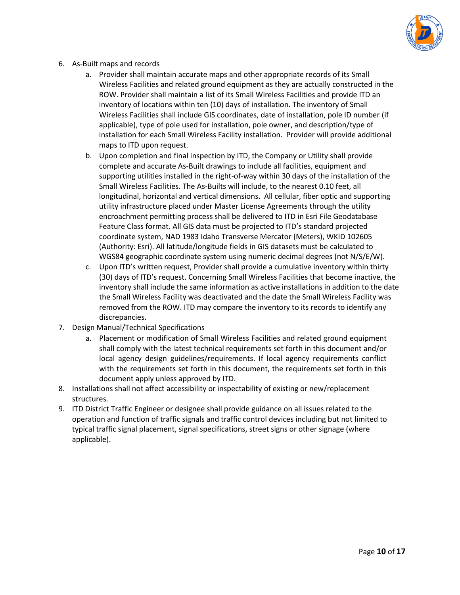

- 6. As‐Built maps and records
	- a. Provider shall maintain accurate maps and other appropriate records of its Small Wireless Facilities and related ground equipment as they are actually constructed in the ROW. Provider shall maintain a list of its Small Wireless Facilities and provide ITD an inventory of locations within ten (10) days of installation. The inventory of Small Wireless Facilities shall include GIS coordinates, date of installation, pole ID number (if applicable), type of pole used for installation, pole owner, and description/type of installation for each Small Wireless Facility installation. Provider will provide additional maps to ITD upon request.
	- b. Upon completion and final inspection by ITD, the Company or Utility shall provide complete and accurate As-Built drawings to include all facilities, equipment and supporting utilities installed in the right-of-way within 30 days of the installation of the Small Wireless Facilities. The As-Builts will include, to the nearest 0.10 feet, all longitudinal, horizontal and vertical dimensions. All cellular, fiber optic and supporting utility infrastructure placed under Master License Agreements through the utility encroachment permitting process shall be delivered to ITD in Esri File Geodatabase Feature Class format. All GIS data must be projected to ITD's standard projected coordinate system, NAD 1983 Idaho Transverse Mercator (Meters), WKID 102605 (Authority: Esri). All latitude/longitude fields in GIS datasets must be calculated to WGS84 geographic coordinate system using numeric decimal degrees (not N/S/E/W).
	- c. Upon ITD's written request, Provider shall provide a cumulative inventory within thirty (30) days of ITD's request. Concerning Small Wireless Facilities that become inactive, the inventory shall include the same information as active installations in addition to the date the Small Wireless Facility was deactivated and the date the Small Wireless Facility was removed from the ROW. ITD may compare the inventory to its records to identify any discrepancies.
- 7. Design Manual/Technical Specifications
	- a. Placement or modification of Small Wireless Facilities and related ground equipment shall comply with the latest technical requirements set forth in this document and/or local agency design guidelines/requirements. If local agency requirements conflict with the requirements set forth in this document, the requirements set forth in this document apply unless approved by ITD.
- 8. Installations shall not affect accessibility or inspectability of existing or new/replacement structures.
- 9. ITD District Traffic Engineer or designee shall provide guidance on all issues related to the operation and function of traffic signals and traffic control devices including but not limited to typical traffic signal placement, signal specifications, street signs or other signage (where applicable).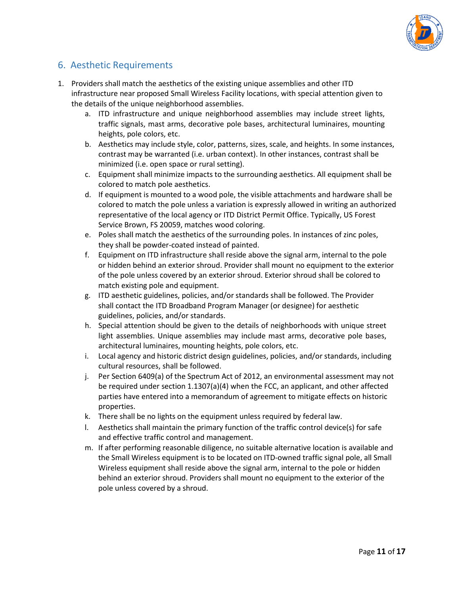

### 6. Aesthetic Requirements

- 1. Providers shall match the aesthetics of the existing unique assemblies and other ITD infrastructure near proposed Small Wireless Facility locations, with special attention given to the details of the unique neighborhood assemblies.
	- a. ITD infrastructure and unique neighborhood assemblies may include street lights, traffic signals, mast arms, decorative pole bases, architectural luminaires, mounting heights, pole colors, etc.
	- b. Aesthetics may include style, color, patterns, sizes, scale, and heights. In some instances, contrast may be warranted (i.e. urban context). In other instances, contrast shall be minimized (i.e. open space or rural setting).
	- c. Equipment shall minimize impacts to the surrounding aesthetics. All equipment shall be colored to match pole aesthetics.
	- d. If equipment is mounted to a wood pole, the visible attachments and hardware shall be colored to match the pole unless a variation is expressly allowed in writing an authorized representative of the local agency or ITD District Permit Office. Typically, US Forest Service Brown, FS 20059, matches wood coloring.
	- e. Poles shall match the aesthetics of the surrounding poles. In instances of zinc poles, they shall be powder‐coated instead of painted.
	- f. Equipment on ITD infrastructure shall reside above the signal arm, internal to the pole or hidden behind an exterior shroud. Provider shall mount no equipment to the exterior of the pole unless covered by an exterior shroud. Exterior shroud shall be colored to match existing pole and equipment.
	- g. ITD aesthetic guidelines, policies, and/or standards shall be followed. The Provider shall contact the ITD Broadband Program Manager (or designee) for aesthetic guidelines, policies, and/or standards.
	- h. Special attention should be given to the details of neighborhoods with unique street light assemblies. Unique assemblies may include mast arms, decorative pole bases, architectural luminaires, mounting heights, pole colors, etc.
	- i. Local agency and historic district design guidelines, policies, and/or standards, including cultural resources, shall be followed.
	- j. Per Section 6409(a) of the Spectrum Act of 2012, an environmental assessment may not be required under section 1.1307(a)(4) when the FCC, an applicant, and other affected parties have entered into a memorandum of agreement to mitigate effects on historic properties.
	- k. There shall be no lights on the equipment unless required by federal law.
	- l. Aesthetics shall maintain the primary function of the traffic control device(s) for safe and effective traffic control and management.
	- m. If after performing reasonable diligence, no suitable alternative location is available and the Small Wireless equipment is to be located on ITD-owned traffic signal pole, all Small Wireless equipment shall reside above the signal arm, internal to the pole or hidden behind an exterior shroud. Providers shall mount no equipment to the exterior of the pole unless covered by a shroud.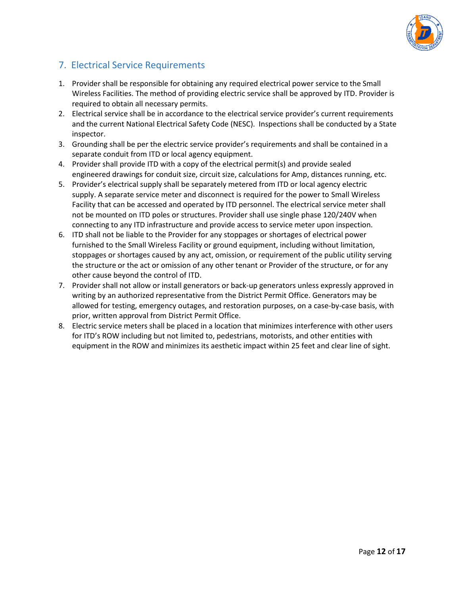

## 7. Electrical Service Requirements

- 1. Provider shall be responsible for obtaining any required electrical power service to the Small Wireless Facilities. The method of providing electric service shall be approved by ITD. Provider is required to obtain all necessary permits.
- 2. Electrical service shall be in accordance to the electrical service provider's current requirements and the current National Electrical Safety Code (NESC). Inspections shall be conducted by a State inspector.
- 3. Grounding shall be per the electric service provider's requirements and shall be contained in a separate conduit from ITD or local agency equipment.
- 4. Provider shall provide ITD with a copy of the electrical permit(s) and provide sealed engineered drawings for conduit size, circuit size, calculations for Amp, distances running, etc.
- 5. Provider's electrical supply shall be separately metered from ITD or local agency electric supply. A separate service meter and disconnect is required for the power to Small Wireless Facility that can be accessed and operated by ITD personnel. The electrical service meter shall not be mounted on ITD poles or structures. Provider shall use single phase 120/240V when connecting to any ITD infrastructure and provide access to service meter upon inspection.
- 6. ITD shall not be liable to the Provider for any stoppages or shortages of electrical power furnished to the Small Wireless Facility or ground equipment, including without limitation, stoppages or shortages caused by any act, omission, or requirement of the public utility serving the structure or the act or omission of any other tenant or Provider of the structure, or for any other cause beyond the control of ITD.
- 7. Provider shall not allow or install generators or back-up generators unless expressly approved in writing by an authorized representative from the District Permit Office. Generators may be allowed for testing, emergency outages, and restoration purposes, on a case‐by‐case basis, with prior, written approval from District Permit Office.
- 8. Electric service meters shall be placed in a location that minimizes interference with other users for ITD's ROW including but not limited to, pedestrians, motorists, and other entities with equipment in the ROW and minimizes its aesthetic impact within 25 feet and clear line of sight.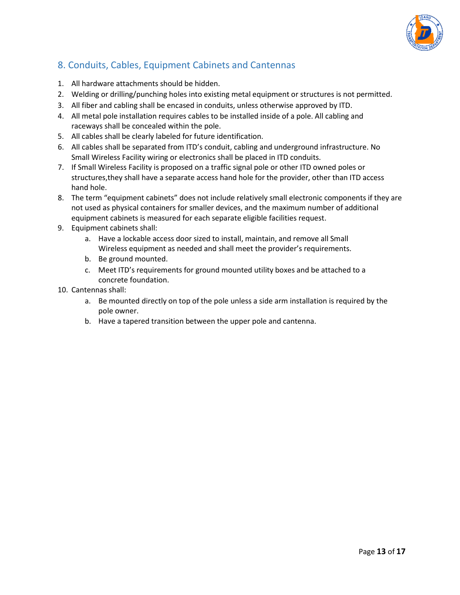

# 8. Conduits, Cables, Equipment Cabinets and Cantennas

- 1. All hardware attachments should be hidden.
- 2. Welding or drilling/punching holes into existing metal equipment or structures is not permitted.
- 3. All fiber and cabling shall be encased in conduits, unless otherwise approved by ITD.
- 4. All metal pole installation requires cables to be installed inside of a pole. All cabling and raceways shall be concealed within the pole.
- 5. All cables shall be clearly labeled for future identification.
- 6. All cables shall be separated from ITD's conduit, cabling and underground infrastructure. No Small Wireless Facility wiring or electronics shall be placed in ITD conduits.
- 7. If Small Wireless Facility is proposed on a traffic signal pole or other ITD owned poles or structures,they shall have a separate access hand hole for the provider, other than ITD access hand hole.
- 8. The term "equipment cabinets" does not include relatively small electronic components if they are not used as physical containers for smaller devices, and the maximum number of additional equipment cabinets is measured for each separate eligible facilities request.
- 9. Equipment cabinets shall:
	- a. Have a lockable access door sized to install, maintain, and remove all Small Wireless equipment as needed and shall meet the provider's requirements.
	- b. Be ground mounted.
	- c. Meet ITD's requirements for ground mounted utility boxes and be attached to a concrete foundation.
- 10. Cantennas shall:
	- a. Be mounted directly on top of the pole unless a side arm installation is required by the pole owner.
	- b. Have a tapered transition between the upper pole and cantenna.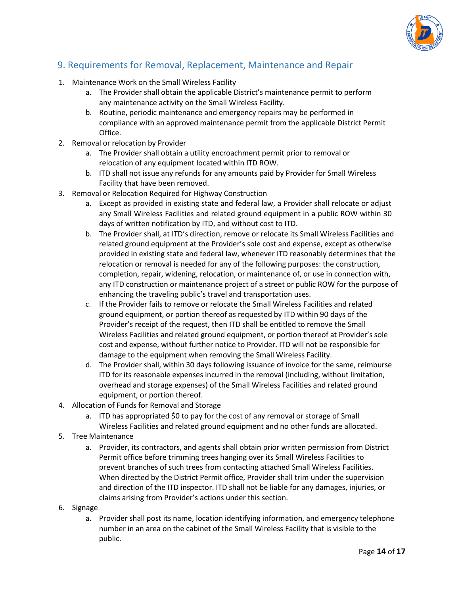

## 9. Requirements for Removal, Replacement, Maintenance and Repair

- 1. Maintenance Work on the Small Wireless Facility
	- a. The Provider shall obtain the applicable District's maintenance permit to perform any maintenance activity on the Small Wireless Facility.
	- b. Routine, periodic maintenance and emergency repairs may be performed in compliance with an approved maintenance permit from the applicable District Permit Office.
- 2. Removal or relocation by Provider
	- a. The Provider shall obtain a utility encroachment permit prior to removal or relocation of any equipment located within ITD ROW.
	- b. ITD shall not issue any refunds for any amounts paid by Provider for Small Wireless Facility that have been removed.
- 3. Removal or Relocation Required for Highway Construction
	- a. Except as provided in existing state and federal law, a Provider shall relocate or adjust any Small Wireless Facilities and related ground equipment in a public ROW within 30 days of written notification by ITD, and without cost to ITD.
	- b. The Provider shall, at ITD's direction, remove or relocate its Small Wireless Facilities and related ground equipment at the Provider's sole cost and expense, except as otherwise provided in existing state and federal law, whenever ITD reasonably determines that the relocation or removal is needed for any of the following purposes: the construction, completion, repair, widening, relocation, or maintenance of, or use in connection with, any ITD construction or maintenance project of a street or public ROW for the purpose of enhancing the traveling public's travel and transportation uses.
	- c. If the Provider fails to remove or relocate the Small Wireless Facilities and related ground equipment, or portion thereof as requested by ITD within 90 days of the Provider's receipt of the request, then ITD shall be entitled to remove the Small Wireless Facilities and related ground equipment, or portion thereof at Provider's sole cost and expense, without further notice to Provider. ITD will not be responsible for damage to the equipment when removing the Small Wireless Facility.
	- d. The Provider shall, within 30 days following issuance of invoice for the same, reimburse ITD for its reasonable expenses incurred in the removal (including, without limitation, overhead and storage expenses) of the Small Wireless Facilities and related ground equipment, or portion thereof.
- 4. Allocation of Funds for Removal and Storage
	- a. ITD has appropriated \$0 to pay for the cost of any removal or storage of Small Wireless Facilities and related ground equipment and no other funds are allocated.
- 5. Tree Maintenance
	- a. Provider, its contractors, and agents shall obtain prior written permission from District Permit office before trimming trees hanging over its Small Wireless Facilities to prevent branches of such trees from contacting attached Small Wireless Facilities. When directed by the District Permit office, Provider shall trim under the supervision and direction of the ITD inspector. ITD shall not be liable for any damages, injuries, or claims arising from Provider's actions under this section.
- 6. Signage
	- a. Provider shall post its name, location identifying information, and emergency telephone number in an area on the cabinet of the Small Wireless Facility that is visible to the public.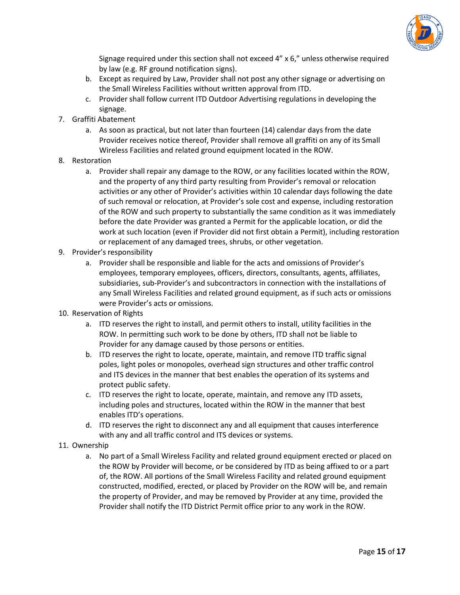

Signage required under this section shall not exceed 4" x 6," unless otherwise required by law (e.g. RF ground notification signs).

- b. Except as required by Law, Provider shall not post any other signage or advertising on the Small Wireless Facilities without written approval from ITD.
- c. Provider shall follow current ITD Outdoor Advertising regulations in developing the signage.
- 7. Graffiti Abatement
	- a. As soon as practical, but not later than fourteen (14) calendar days from the date Provider receives notice thereof, Provider shall remove all graffiti on any of its Small Wireless Facilities and related ground equipment located in the ROW.
- 8. Restoration
	- a. Provider shall repair any damage to the ROW, or any facilities located within the ROW, and the property of any third party resulting from Provider's removal or relocation activities or any other of Provider's activities within 10 calendar days following the date of such removal or relocation, at Provider's sole cost and expense, including restoration of the ROW and such property to substantially the same condition as it was immediately before the date Provider was granted a Permit for the applicable location, or did the work at such location (even if Provider did not first obtain a Permit), including restoration or replacement of any damaged trees, shrubs, or other vegetation.
- 9. Provider's responsibility
	- a. Provider shall be responsible and liable for the acts and omissions of Provider's employees, temporary employees, officers, directors, consultants, agents, affiliates, subsidiaries, sub‐Provider's and subcontractors in connection with the installations of any Small Wireless Facilities and related ground equipment, as if such acts or omissions were Provider's acts or omissions.
- 10. Reservation of Rights
	- a. ITD reserves the right to install, and permit others to install, utility facilities in the ROW. In permitting such work to be done by others, ITD shall not be liable to Provider for any damage caused by those persons or entities.
	- b. ITD reserves the right to locate, operate, maintain, and remove ITD traffic signal poles, light poles or monopoles, overhead sign structures and other traffic control and ITS devices in the manner that best enables the operation of its systems and protect public safety.
	- c. ITD reserves the right to locate, operate, maintain, and remove any ITD assets, including poles and structures, located within the ROW in the manner that best enables ITD's operations.
	- d. ITD reserves the right to disconnect any and all equipment that causes interference with any and all traffic control and ITS devices or systems.
- 11. Ownership
	- a. No part of a Small Wireless Facility and related ground equipment erected or placed on the ROW by Provider will become, or be considered by ITD as being affixed to or a part of, the ROW. All portions of the Small Wireless Facility and related ground equipment constructed, modified, erected, or placed by Provider on the ROW will be, and remain the property of Provider, and may be removed by Provider at any time, provided the Provider shall notify the ITD District Permit office prior to any work in the ROW.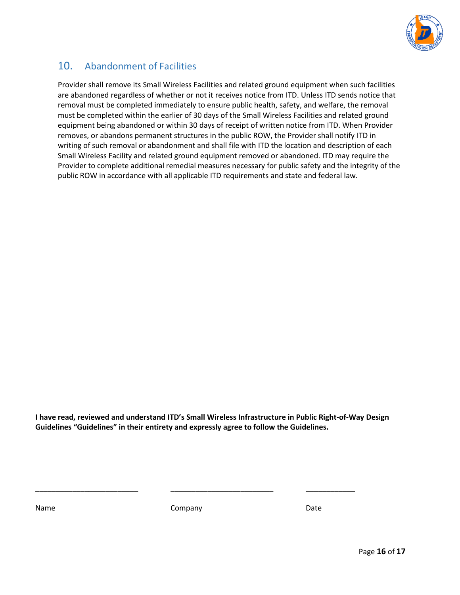

## 10. Abandonment of Facilities

Provider shall remove its Small Wireless Facilities and related ground equipment when such facilities are abandoned regardless of whether or not it receives notice from ITD. Unless ITD sends notice that removal must be completed immediately to ensure public health, safety, and welfare, the removal must be completed within the earlier of 30 days of the Small Wireless Facilities and related ground equipment being abandoned or within 30 days of receipt of written notice from ITD. When Provider removes, or abandons permanent structures in the public ROW, the Provider shall notify ITD in writing of such removal or abandonment and shall file with ITD the location and description of each Small Wireless Facility and related ground equipment removed or abandoned. ITD may require the Provider to complete additional remedial measures necessary for public safety and the integrity of the public ROW in accordance with all applicable ITD requirements and state and federal law.

**I have read, reviewed and understand ITD's Small Wireless Infrastructure in Public Right‐of‐Way Design Guidelines "Guidelines" in their entirety and expressly agree to follow the Guidelines.**

Name **Company** Company **Date** 

\_\_\_\_\_\_\_\_\_\_\_\_\_\_\_\_\_\_\_\_\_\_\_\_\_ \_\_\_\_\_\_\_\_\_\_\_\_\_\_\_\_\_\_\_\_\_\_\_\_\_ \_\_\_\_\_\_\_\_\_\_\_\_